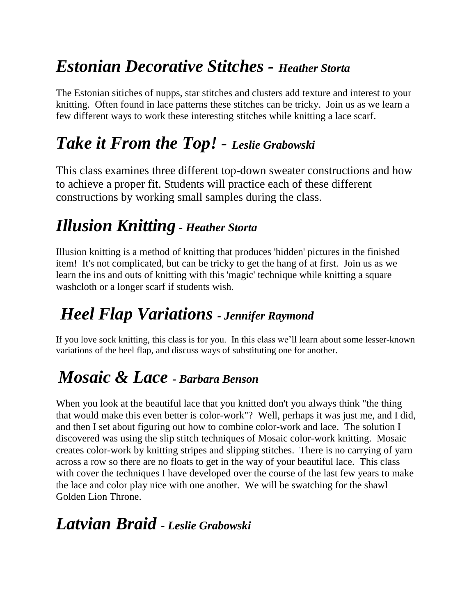## *Estonian Decorative Stitches - Heather Storta*

The Estonian sitiches of nupps, star stitches and clusters add texture and interest to your knitting. Often found in lace patterns these stitches can be tricky. Join us as we learn a few different ways to work these interesting stitches while knitting a lace scarf.

# *Take it From the Top! - Leslie Grabowski*

This class examines three different top-down sweater constructions and how to achieve a proper fit. Students will practice each of these different constructions by working small samples during the class.

## *Illusion Knitting - Heather Storta*

Illusion knitting is a method of knitting that produces 'hidden' pictures in the finished item! It's not complicated, but can be tricky to get the hang of at first. Join us as we learn the ins and outs of knitting with this 'magic' technique while knitting a square washcloth or a longer scarf if students wish.

### *Heel Flap Variations - Jennifer Raymond*

If you love sock knitting, this class is for you. In this class we'll learn about some lesser-known variations of the heel flap, and discuss ways of substituting one for another.

### *Mosaic & Lace - Barbara Benson*

When you look at the beautiful lace that you knitted don't you always think "the thing that would make this even better is color-work"? Well, perhaps it was just me, and I did, and then I set about figuring out how to combine color-work and lace. The solution I discovered was using the slip stitch techniques of Mosaic color-work knitting. Mosaic creates color-work by knitting stripes and slipping stitches. There is no carrying of yarn across a row so there are no floats to get in the way of your beautiful lace. This class with cover the techniques I have developed over the course of the last few years to make the lace and color play nice with one another. We will be swatching for the shawl Golden Lion Throne.

### *Latvian Braid - Leslie Grabowski*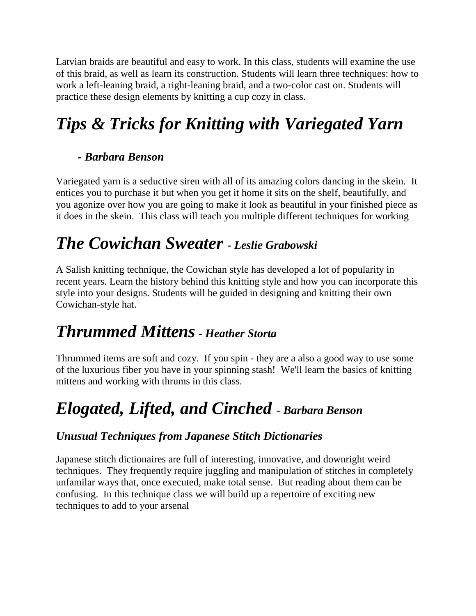Latvian braids are beautiful and easy to work. In this class, students will examine the use of this braid, as well as learn its construction. Students will learn three techniques: how to work a left-leaning braid, a right-leaning braid, and a two-color cast on. Students will practice these design elements by knitting a cup cozy in class.

# *Tips & Tricks for Knitting with Variegated Yarn*

#### *- Barbara Benson*

Variegated yarn is a seductive siren with all of its amazing colors dancing in the skein. It entices you to purchase it but when you get it home it sits on the shelf, beautifully, and you agonize over how you are going to make it look as beautiful in your finished piece as it does in the skein. This class will teach you multiple different techniques for working

## *The Cowichan Sweater - Leslie Grabowski*

A Salish knitting technique, the Cowichan style has developed a lot of popularity in recent years. Learn the history behind this knitting style and how you can incorporate this style into your designs. Students will be guided in designing and knitting their own Cowichan-style hat.

### *Thrummed Mittens- Heather Storta*

Thrummed items are soft and cozy. If you spin - they are a also a good way to use some of the luxurious fiber you have in your spinning stash! We'll learn the basics of knitting mittens and working with thrums in this class.

# *Elogated, Lifted, and Cinched - Barbara Benson*

#### *Unusual Techniques from Japanese Stitch Dictionaries*

Japanese stitch dictionaires are full of interesting, innovative, and downright weird techniques. They frequently require juggling and manipulation of stitches in completely unfamilar ways that, once executed, make total sense. But reading about them can be confusing. In this technique class we will build up a repertoire of exciting new techniques to add to your arsenal